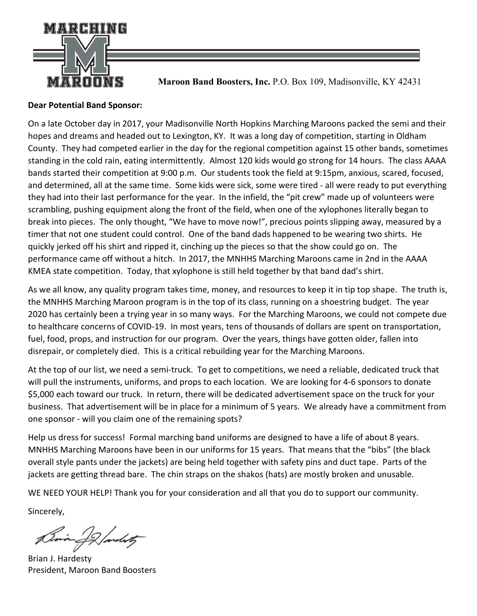

 **Maroon Band Boosters, Inc.** P.O. Box 109, Madisonville, KY 42431

# **Dear Potential Band Sponsor:**

On a late October day in 2017, your Madisonville North Hopkins Marching Maroons packed the semi and their hopes and dreams and headed out to Lexington, KY. It was a long day of competition, starting in Oldham County. They had competed earlier in the day for the regional competition against 15 other bands, sometimes standing in the cold rain, eating intermittently. Almost 120 kids would go strong for 14 hours. The class AAAA bands started their competition at 9:00 p.m. Our students took the field at 9:15pm, anxious, scared, focused, and determined, all at the same time. Some kids were sick, some were tired - all were ready to put everything they had into their last performance for the year. In the infield, the "pit crew" made up of volunteers were scrambling, pushing equipment along the front of the field, when one of the xylophones literally began to break into pieces. The only thought, "We have to move now!", precious points slipping away, measured by a timer that not one student could control. One of the band dads happened to be wearing two shirts. He quickly jerked off his shirt and ripped it, cinching up the pieces so that the show could go on. The performance came off without a hitch. In 2017, the MNHHS Marching Maroons came in 2nd in the AAAA KMEA state competition. Today, that xylophone is still held together by that band dad's shirt.

As we all know, any quality program takes time, money, and resources to keep it in tip top shape. The truth is, the MNHHS Marching Maroon program is in the top of its class, running on a shoestring budget. The year 2020 has certainly been a trying year in so many ways. For the Marching Maroons, we could not compete due to healthcare concerns of COVID-19. In most years, tens of thousands of dollars are spent on transportation, fuel, food, props, and instruction for our program. Over the years, things have gotten older, fallen into disrepair, or completely died. This is a critical rebuilding year for the Marching Maroons.

At the top of our list, we need a semi-truck. To get to competitions, we need a reliable, dedicated truck that will pull the instruments, uniforms, and props to each location. We are looking for 4-6 sponsors to donate \$5,000 each toward our truck. In return, there will be dedicated advertisement space on the truck for your business. That advertisement will be in place for a minimum of 5 years. We already have a commitment from one sponsor - will you claim one of the remaining spots?

Help us dress for success! Formal marching band uniforms are designed to have a life of about 8 years. MNHHS Marching Maroons have been in our uniforms for 15 years. That means that the "bibs" (the black overall style pants under the jackets) are being held together with safety pins and duct tape. Parts of the jackets are getting thread bare. The chin straps on the shakos (hats) are mostly broken and unusable.

WE NEED YOUR HELP! Thank you for your consideration and all that you do to support our community.

Sincerely,

Bria of Jandesty

Brian J. Hardesty President, Maroon Band Boosters